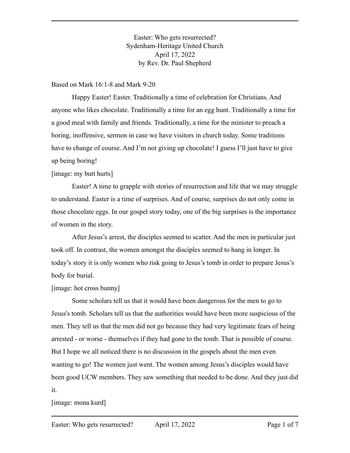Easter: Who gets resurrected? Sydenham-Heritage United Church April 17, 2022 by Rev. Dr. Paul Shepherd

#### Based on Mark 16:1-8 and Mark 9-20

Happy Easter! Easter. Traditionally a time of celebration for Christians. And anyone who likes chocolate. Traditionally a time for an egg hunt. Traditionally a time for a good meal with family and friends. Traditionally, a time for the minister to preach a boring, inoffensive, sermon in case we have visitors in church today. Some traditions have to change of course. And I'm not giving up chocolate! I guess I'll just have to give up being boring!

### [image: my butt hurts]

Easter! A time to grapple with stories of resurrection and life that we may struggle to understand. Easter is a time of surprises. And of course, surprises do not only come in those chocolate eggs. In our gospel story today, one of the big surprises is the importance of women in the story.

After Jesus's arrest, the disciples seemed to scatter. And the men in particular just took off. In contrast, the women amongst the disciples seemed to hang in longer. In today's story it is only women who risk going to Jesus's tomb in order to prepare Jesus's body for burial.

### [image: hot cross bunny]

Some scholars tell us that it would have been dangerous for the men to go to Jesus's tomb. Scholars tell us that the authorities would have been more suspicious of the men. They tell us that the men did not go because they had very legitimate fears of being arrested - or worse - themselves if they had gone to the tomb. That is possible of course. But I hope we all noticed there is no discussion in the gospels about the men even wanting to go! The women just went. The women among Jesus's disciples would have been good UCW members. They saw something that needed to be done. And they just did it.

[image: mona kurd]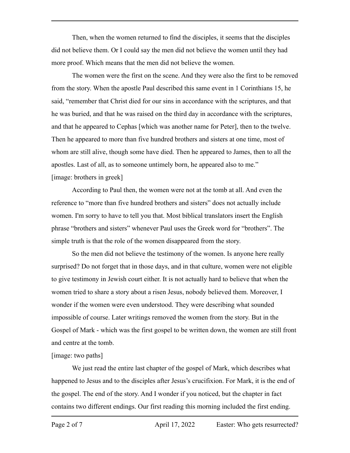Then, when the women returned to find the disciples, it seems that the disciples did not believe them. Or I could say the men did not believe the women until they had more proof. Which means that the men did not believe the women.

The women were the first on the scene. And they were also the first to be removed from the story. When the apostle Paul described this same event in 1 Corinthians 15, he said, "remember that Christ died for our sins in accordance with the scriptures, and that he was buried, and that he was raised on the third day in accordance with the scriptures, and that he appeared to Cephas [which was another name for Peter], then to the twelve. Then he appeared to more than five hundred brothers and sisters at one time, most of whom are still alive, though some have died. Then he appeared to James, then to all the apostles. Last of all, as to someone untimely born, he appeared also to me." [image: brothers in greek]

According to Paul then, the women were not at the tomb at all. And even the reference to "more than five hundred brothers and sisters" does not actually include women. I'm sorry to have to tell you that. Most biblical translators insert the English phrase "brothers and sisters" whenever Paul uses the Greek word for "brothers". The simple truth is that the role of the women disappeared from the story.

So the men did not believe the testimony of the women. Is anyone here really surprised? Do not forget that in those days, and in that culture, women were not eligible to give testimony in Jewish court either. It is not actually hard to believe that when the women tried to share a story about a risen Jesus, nobody believed them. Moreover, I wonder if the women were even understood. They were describing what sounded impossible of course. Later writings removed the women from the story. But in the Gospel of Mark - which was the first gospel to be written down, the women are still front and centre at the tomb.

### [image: two paths]

We just read the entire last chapter of the gospel of Mark, which describes what happened to Jesus and to the disciples after Jesus's crucifixion. For Mark, it is the end of the gospel. The end of the story. And I wonder if you noticed, but the chapter in fact contains two different endings. Our first reading this morning included the first ending.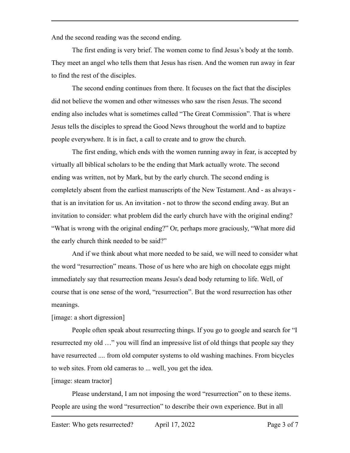And the second reading was the second ending.

The first ending is very brief. The women come to find Jesus's body at the tomb. They meet an angel who tells them that Jesus has risen. And the women run away in fear to find the rest of the disciples.

The second ending continues from there. It focuses on the fact that the disciples did not believe the women and other witnesses who saw the risen Jesus. The second ending also includes what is sometimes called "The Great Commission". That is where Jesus tells the disciples to spread the Good News throughout the world and to baptize people everywhere. It is in fact, a call to create and to grow the church.

The first ending, which ends with the women running away in fear, is accepted by virtually all biblical scholars to be the ending that Mark actually wrote. The second ending was written, not by Mark, but by the early church. The second ending is completely absent from the earliest manuscripts of the New Testament. And - as always that is an invitation for us. An invitation - not to throw the second ending away. But an invitation to consider: what problem did the early church have with the original ending? "What is wrong with the original ending?" Or, perhaps more graciously, "What more did the early church think needed to be said?"

And if we think about what more needed to be said, we will need to consider what the word "resurrection" means. Those of us here who are high on chocolate eggs might immediately say that resurrection means Jesus's dead body returning to life. Well, of course that is one sense of the word, "resurrection". But the word resurrection has other meanings.

### [image: a short digression]

People often speak about resurrecting things. If you go to google and search for "I resurrected my old …" you will find an impressive list of old things that people say they have resurrected .... from old computer systems to old washing machines. From bicycles to web sites. From old cameras to ... well, you get the idea.

[image: steam tractor]

Please understand, I am not imposing the word "resurrection" on to these items. People are using the word "resurrection" to describe their own experience. But in all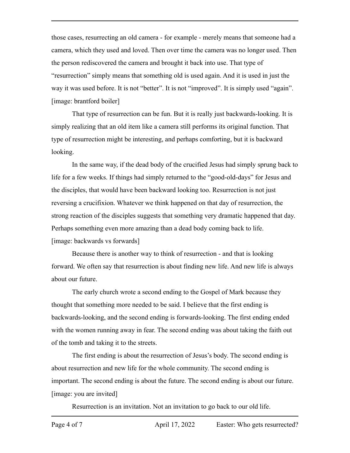those cases, resurrecting an old camera - for example - merely means that someone had a camera, which they used and loved. Then over time the camera was no longer used. Then the person rediscovered the camera and brought it back into use. That type of "resurrection" simply means that something old is used again. And it is used in just the way it was used before. It is not "better". It is not "improved". It is simply used "again". [image: brantford boiler]

That type of resurrection can be fun. But it is really just backwards-looking. It is simply realizing that an old item like a camera still performs its original function. That type of resurrection might be interesting, and perhaps comforting, but it is backward looking.

In the same way, if the dead body of the crucified Jesus had simply sprung back to life for a few weeks. If things had simply returned to the "good-old-days" for Jesus and the disciples, that would have been backward looking too. Resurrection is not just reversing a crucifixion. Whatever we think happened on that day of resurrection, the strong reaction of the disciples suggests that something very dramatic happened that day. Perhaps something even more amazing than a dead body coming back to life. [image: backwards vs forwards]

Because there is another way to think of resurrection - and that is looking forward. We often say that resurrection is about finding new life. And new life is always about our future.

The early church wrote a second ending to the Gospel of Mark because they thought that something more needed to be said. I believe that the first ending is backwards-looking, and the second ending is forwards-looking. The first ending ended with the women running away in fear. The second ending was about taking the faith out of the tomb and taking it to the streets.

The first ending is about the resurrection of Jesus's body. The second ending is about resurrection and new life for the whole community. The second ending is important. The second ending is about the future. The second ending is about our future. [image: you are invited]

Resurrection is an invitation. Not an invitation to go back to our old life.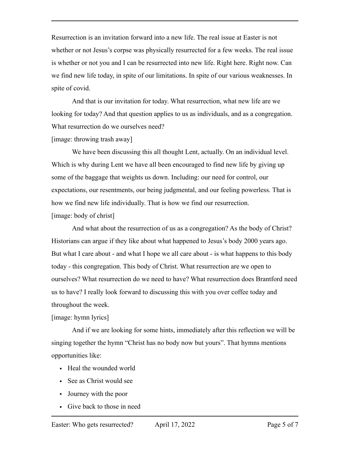Resurrection is an invitation forward into a new life. The real issue at Easter is not whether or not Jesus's corpse was physically resurrected for a few weeks. The real issue is whether or not you and I can be resurrected into new life. Right here. Right now. Can we find new life today, in spite of our limitations. In spite of our various weaknesses. In spite of covid.

And that is our invitation for today. What resurrection, what new life are we looking for today? And that question applies to us as individuals, and as a congregation. What resurrection do we ourselves need?

[image: throwing trash away]

We have been discussing this all thought Lent, actually. On an individual level. Which is why during Lent we have all been encouraged to find new life by giving up some of the baggage that weights us down. Including: our need for control, our expectations, our resentments, our being judgmental, and our feeling powerless. That is how we find new life individually. That is how we find our resurrection. [image: body of christ]

And what about the resurrection of us as a congregation? As the body of Christ? Historians can argue if they like about what happened to Jesus's body 2000 years ago. But what I care about - and what I hope we all care about - is what happens to this body today - this congregation. This body of Christ. What resurrection are we open to ourselves? What resurrection do we need to have? What resurrection does Brantford need us to have? I really look forward to discussing this with you over coffee today and throughout the week.

### [image: hymn lyrics]

And if we are looking for some hints, immediately after this reflection we will be singing together the hymn "Christ has no body now but yours". That hymns mentions opportunities like:

- Heal the wounded world
- See as Christ would see
- Journey with the poor
- Give back to those in need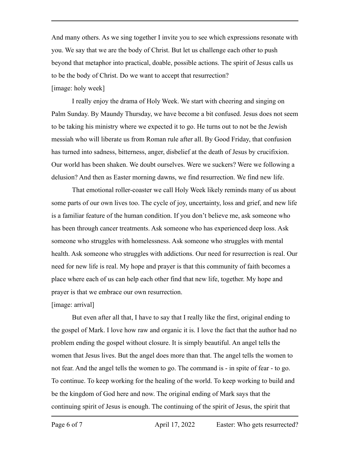And many others. As we sing together I invite you to see which expressions resonate with you. We say that we are the body of Christ. But let us challenge each other to push beyond that metaphor into practical, doable, possible actions. The spirit of Jesus calls us to be the body of Christ. Do we want to accept that resurrection?

## [image: holy week]

I really enjoy the drama of Holy Week. We start with cheering and singing on Palm Sunday. By Maundy Thursday, we have become a bit confused. Jesus does not seem to be taking his ministry where we expected it to go. He turns out to not be the Jewish messiah who will liberate us from Roman rule after all. By Good Friday, that confusion has turned into sadness, bitterness, anger, disbelief at the death of Jesus by crucifixion. Our world has been shaken. We doubt ourselves. Were we suckers? Were we following a delusion? And then as Easter morning dawns, we find resurrection. We find new life.

That emotional roller-coaster we call Holy Week likely reminds many of us about some parts of our own lives too. The cycle of joy, uncertainty, loss and grief, and new life is a familiar feature of the human condition. If you don't believe me, ask someone who has been through cancer treatments. Ask someone who has experienced deep loss. Ask someone who struggles with homelessness. Ask someone who struggles with mental health. Ask someone who struggles with addictions. Our need for resurrection is real. Our need for new life is real. My hope and prayer is that this community of faith becomes a place where each of us can help each other find that new life, together. My hope and prayer is that we embrace our own resurrection.

# [image: arrival]

But even after all that, I have to say that I really like the first, original ending to the gospel of Mark. I love how raw and organic it is. I love the fact that the author had no problem ending the gospel without closure. It is simply beautiful. An angel tells the women that Jesus lives. But the angel does more than that. The angel tells the women to not fear. And the angel tells the women to go. The command is - in spite of fear - to go. To continue. To keep working for the healing of the world. To keep working to build and be the kingdom of God here and now. The original ending of Mark says that the continuing spirit of Jesus is enough. The continuing of the spirit of Jesus, the spirit that